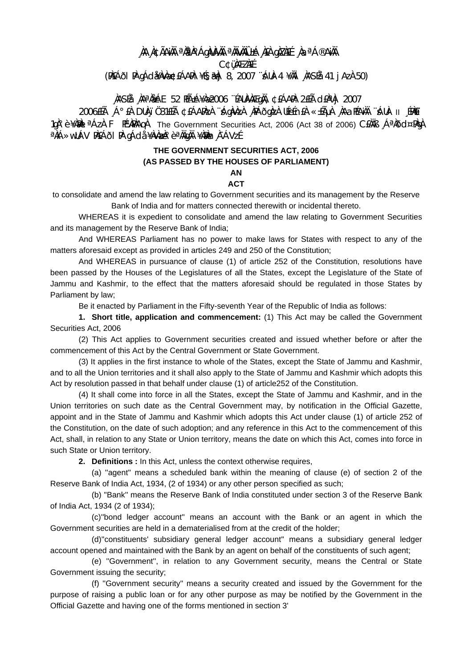## **¸ÀA¸À¢ÃAiÀÄ ªÀåªÀºÁgÀUÀ¼ÀÄ ªÀÄvÀÄÛ ±Á¸À£À gÀZÀ£É ¸ÀaªÁ®AiÀÄ C¢ü¸ÀÆZÀ£É (PÀ£ÁðlPÀ gÁdå¥ÀvÀæ ¢£ÁAPÀ: ¥É§æªÀj 8, 2007 ¨sÁUÀ-4 ¥ÀÄl¸ÀASÉå: 41 jAzÀ 50)**

## **¸ÀASÉå: ¸ÀAªÀå±ÁE 52 PÉñÁ¥Àæ 2006 ¨ÉAUÀ¼ÀÆgÀÄ, ¢£ÁAPÀ: 2£Éà d£ÀªÀj 2007**

 $2006$ £ÉÁ ¸Á°£À DUÀ¸ïÖ31£Éà ¢£ÁAPÀzÀ ∵ÁqÀvÀzÀ ,A^EÓqÀzÀ UÉeÉn£À «±ÁµÀ ,AAaPÉAÀĨ ÿÀUÀ- II ¸ÉPÀËï 1gˡè ¥À $\mathbb{A}$ l<sup>a</sup>ÁzÀ F PÉXÀPÀAgÀ The Government Securities Act, 2006 (Act 38 of 2006) CEÀÄB , ÁªÀÕd¤PÀgÀ <sup>a</sup>ÀiÁ»wUÁV PÀ£ÁðI PÀ gÁdå ¥ÀvÀæÀ°è <sup>a</sup>ÀÄgÀÄ ¥ÀæÀn¸À¯ÁVzÉ

## **THE GOVERNMENT SECURITIES ACT, 2006 (AS PASSED BY THE HOUSES OF PARLIAMENT)**

## **AN ACT**

to consolidate and amend the law relating to Government securities and its management by the Reserve

Bank of India and for matters connected therewith or incidental thereto.

 WHEREAS it is expedient to consolidate and amend the law relating to Government Securities and its management by the Reserve Bank of India;

 And WHEREAS Parliament has no power to make laws for States with respect to any of the matters aforesaid except as provided in articles 249 and 250 of the Constitution;

 And WHEREAS in pursuance of clause (1) of article 252 of the Constitution, resolutions have been passed by the Houses of the Legislatures of all the States, except the Legislature of the State of Jammu and Kashmir, to the effect that the matters aforesaid should be regulated in those States by Parliament by law;

Be it enacted by Parliament in the Fifty-seventh Year of the Republic of India as follows:

 **1. Short title, application and commencement:** (1) This Act may be called the Government Securities Act, 2006

 (2) This Act applies to Government securities created and issued whether before or after the commencement of this Act by the Central Government or State Government.

 (3) It applies in the first instance to whole of the States, except the State of Jammu and Kashmir, and to all the Union territories and it shall also apply to the State of Jammu and Kashmir which adopts this Act by resolution passed in that behalf under clause (1) of article252 of the Constitution.

 (4) It shall come into force in all the States, except the State of Jammu and Kashmir, and in the Union territories on such date as the Central Government may, by notification in the Official Gazette, appoint and in the State of Jammu and Kashmir which adopts this Act under clause (1) of article 252 of the Constitution, on the date of such adoption; and any reference in this Act to the commencement of this Act, shall, in relation to any State or Union territory, means the date on which this Act, comes into force in such State or Union territory.

**2. Definitions :** In this Act, unless the context otherwise requires,

 (a) ''agent'' means a scheduled bank within the meaning of clause (e) of section 2 of the Reserve Bank of India Act, 1934, (2 of 1934) or any other person specified as such;

 (b) ''Bank'' means the Reserve Bank of India constituted under section 3 of the Reserve Bank of India Act, 1934 (2 of 1934);

 (c)''bond ledger account'' means an account with the Bank or an agent in which the Government securities are held in a dematerialised from at the credit of the holder;

 (d)''constituents' subsidiary general ledger account'' means a subsidiary general ledger account opened and maintained with the Bank by an agent on behalf of the constituents of such agent;

 (e) ''Government'', in relation to any Government security, means the Central or State Government issuing the security;

 (f) ''Government security'' means a security created and issued by the Government for the purpose of raising a public loan or for any other purpose as may be notified by the Government in the Official Gazette and having one of the forms mentioned in section 3'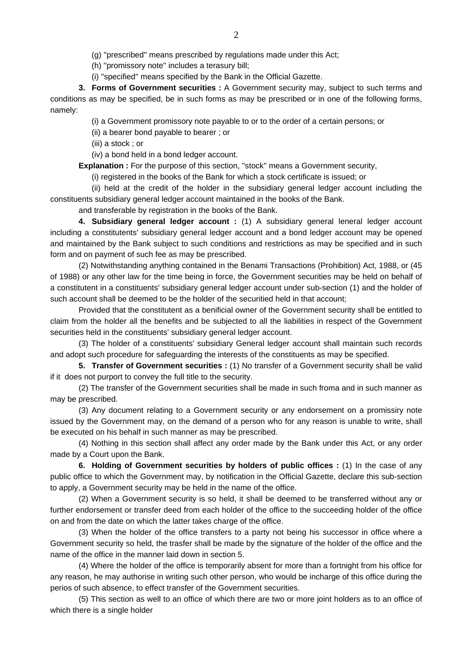(g) ''prescribed'' means prescribed by regulations made under this Act;

(h) ''promissory note'' includes a terasury bill;

(i) ''specified'' means specified by the Bank in the Official Gazette.

**3. Forms of Government securities :** A Government security may, subject to such terms and conditions as may be specified, be in such forms as may be prescribed or in one of the following forms, namely:

(i) a Government promissory note payable to or to the order of a certain persons; or

(ii) a bearer bond payable to bearer ; or

(iii) a stock ; or

(iv) a bond held in a bond ledger account.

**Explanation :** For the purpose of this section, "stock" means a Government security,

(i) registered in the books of the Bank for which a stock certificate is issued; or

 (ii) held at the credit of the holder in the subsidiary general ledger account including the constituents subsidiary general ledger account maintained in the books of the Bank.

and transferable by registration in the books of the Bank.

**4. Subsidiary general ledger account :** (1) A subsidiary general leneral ledger account including a constitutents' subsidiary general ledger account and a bond ledger account may be opened and maintained by the Bank subject to such conditions and restrictions as may be specified and in such form and on payment of such fee as may be prescribed.

 (2) Notwithstanding anything contained in the Benami Transactions (Prohibition) Act, 1988, or (45 of 1988) or any other law for the time being in force, the Government securities may be held on behalf of a constitutent in a constituents' subsidiary general ledger account under sub-section (1) and the holder of such account shall be deemed to be the holder of the securitied held in that account;

 Provided that the constitutent as a benificial owner of the Government security shall be entitled to claim from the holder all the benefits and be subjected to all the liabilities in respect of the Government securities held in the constituents' subsidiary general ledger account.

 (3) The holder of a constituents' subsidiary General ledger account shall maintain such records and adopt such procedure for safeguarding the interests of the constituents as may be specified.

**5. Transfer of Government securities :** (1) No transfer of a Government security shall be valid if it does not purport to convey the full title to the security.

 (2) The transfer of the Government securities shall be made in such froma and in such manner as may be prescribed.

 (3) Any document relating to a Government security or any endorsement on a promissiry note issued by the Government may, on the demand of a person who for any reason is unable to write, shall be executed on his behalf in such manner as may be prescribed.

 (4) Nothing in this section shall affect any order made by the Bank under this Act, or any order made by a Court upon the Bank.

**6. Holding of Government securities by holders of public offices :** (1) In the case of any public office to which the Government may, by notification in the Official Gazette, declare this sub-section to apply, a Government security may be held in the name of the office.

 (2) When a Government security is so held, it shall be deemed to be transferred without any or further endorsement or transfer deed from each holder of the office to the succeeding holder of the office on and from the date on which the latter takes charge of the office.

 (3) When the holder of the office transfers to a party not being his successor in office where a Government security so held, the trasfer shall be made by the signature of the holder of the office and the name of the office in the manner laid down in section 5.

 (4) Where the holder of the office is temporarily absent for more than a fortnight from his office for any reason, he may authorise in writing such other person, who would be incharge of this office during the perios of such absence, to effect transfer of the Government securities.

 (5) This section as well to an office of which there are two or more joint holders as to an office of which there is a single holder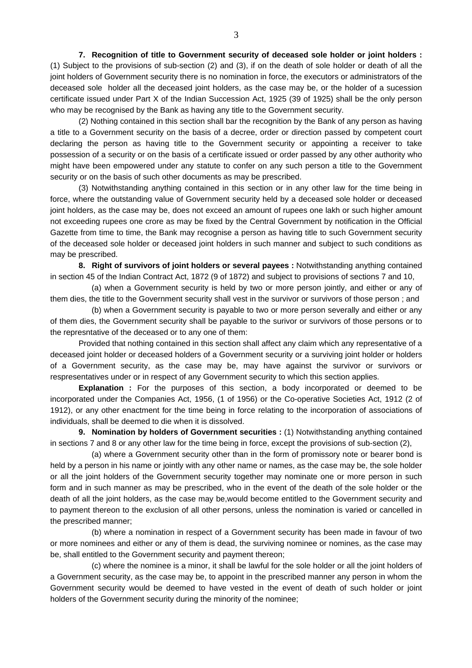**7. Recognition of title to Government security of deceased sole holder or joint holders :** (1) Subject to the provisions of sub-section (2) and (3), if on the death of sole holder or death of all the joint holders of Government security there is no nomination in force, the executors or administrators of the deceased sole holder all the deceased joint holders, as the case may be, or the holder of a sucession certificate issued under Part X of the Indian Succession Act, 1925 (39 of 1925) shall be the only person who may be recognised by the Bank as having any title to the Government security.

 (2) Nothing contained in this section shall bar the recognition by the Bank of any person as having a title to a Government security on the basis of a decree, order or direction passed by competent court declaring the person as having title to the Government security or appointing a receiver to take possession of a security or on the basis of a certificate issued or order passed by any other authority who might have been empowered under any statute to confer on any such person a title to the Government security or on the basis of such other documents as may be prescribed.

 (3) Notwithstanding anything contained in this section or in any other law for the time being in force, where the outstanding value of Government security held by a deceased sole holder or deceased joint holders, as the case may be, does not exceed an amount of rupees one lakh or such higher amount not exceeding rupees one crore as may be fixed by the Central Government by notification in the Official Gazette from time to time, the Bank may recognise a person as having title to such Government security of the deceased sole holder or deceased joint holders in such manner and subject to such conditions as may be prescribed.

**8. Right of survivors of joint holders or several payees :** Notwithstanding anything contained in section 45 of the Indian Contract Act, 1872 (9 of 1872) and subject to provisions of sections 7 and 10,

 (a) when a Government security is held by two or more person jointly, and either or any of them dies, the title to the Government security shall vest in the survivor or survivors of those person ; and

 (b) when a Government security is payable to two or more person severally and either or any of them dies, the Government security shall be payable to the surivor or survivors of those persons or to the represntative of the deceased or to any one of them:

 Provided that nothing contained in this section shall affect any claim which any representative of a deceased joint holder or deceased holders of a Government security or a surviving joint holder or holders of a Government security, as the case may be, may have against the survivor or survivors or respresentatives under or in respect of any Government security to which this section applies.

**Explanation :** For the purposes of this section, a body incorporated or deemed to be incorporated under the Companies Act, 1956, (1 of 1956) or the Co-operative Societies Act, 1912 (2 of 1912), or any other enactment for the time being in force relating to the incorporation of associations of individuals, shall be deemed to die when it is dissolved.

**9. Nomination by holders of Government securities :** (1) Notwithstanding anything contained in sections 7 and 8 or any other law for the time being in force, except the provisions of sub-section (2),

 (a) where a Government security other than in the form of promissory note or bearer bond is held by a person in his name or jointly with any other name or names, as the case may be, the sole holder or all the joint holders of the Government security together may nominate one or more person in such form and in such manner as may be prescribed, who in the event of the death of the sole holder or the death of all the joint holders, as the case may be,would become entitled to the Government security and to payment thereon to the exclusion of all other persons, unless the nomination is varied or cancelled in the prescribed manner;

 (b) where a nomination in respect of a Government security has been made in favour of two or more nominees and either or any of them is dead, the surviving nominee or nomines, as the case may be, shall entitled to the Government security and payment thereon;

 (c) where the nominee is a minor, it shall be lawful for the sole holder or all the joint holders of a Government security, as the case may be, to appoint in the prescribed manner any person in whom the Government security would be deemed to have vested in the event of death of such holder or joint holders of the Government security during the minority of the nominee;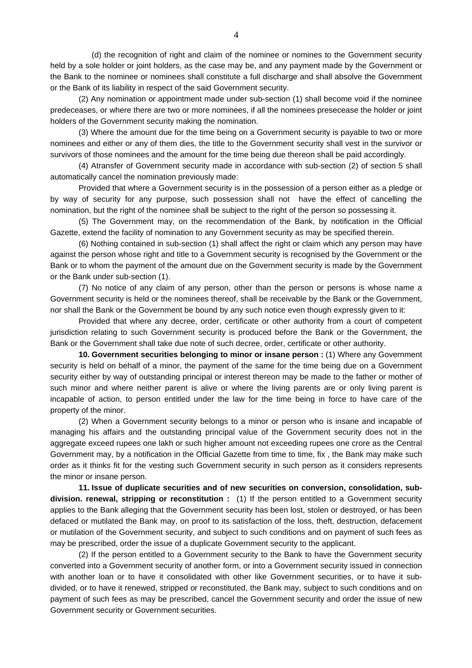(d) the recognition of right and claim of the nominee or nomines to the Government security held by a sole holder or joint holders, as the case may be, and any payment made by the Government or the Bank to the nominee or nominees shall constitute a full discharge and shall absolve the Government or the Bank of its liability in respect of the said Government security.

 (2) Any nomination or appointment made under sub-section (1) shall become void if the nominee predeceases, or where there are two or more nominees, if all the nominees presecease the holder or joint holders of the Government security making the nomination.

 (3) Where the amount due for the time being on a Government security is payable to two or more nominees and either or any of them dies, the title to the Government security shall vest in the survivor or survivors of those nominees and the amount for the time being due thereon shall be paid accordingly.

 (4) Atransfer of Government security made in accordance with sub-section (2) of section 5 shall automatically cancel the nomination previously made:

 Provided that where a Government security is in the possession of a person either as a pledge or by way of security for any purpose, such possession shall not have the effect of cancelling the nomination, but the right of the nominee shall be subject to the right of the person so possessing it.

 (5) The Government may, on the recommendation of the Bank, by notification in the Official Gazette, extend the facility of nomination to any Government security as may be specified therein.

 (6) Nothing contained in sub-section (1) shall affect the right or claim which any person may have against the person whose right and title to a Government security is recognised by the Government or the Bank or to whom the payment of the amount due on the Government security is made by the Government or the Bank under sub-section (1).

 (7) No notice of any claim of any person, other than the person or persons is whose name a Government security is held or the nominees thereof, shall be receivable by the Bank or the Government, nor shall the Bank or the Government be bound by any such notice even though expressly given to it:

 Provided that where any decree, order, certificate or other authority from a court of competent jurisdiction relating to such Government security is produced before the Bank or the Government, the Bank or the Government shall take due note of such decree, order, certificate or other authority.

**10. Government securities belonging to minor or insane person :** (1) Where any Government security is held on behalf of a minor, the payment of the same for the time being due on a Government security either by way of outstanding principal or interest thereon may be made to the father or mother of such minor and where neither parent is alive or where the living parents are or only living parent is incapable of action, to person entitled under the law for the time being in force to have care of the property of the minor.

 (2) When a Government security belongs to a minor or person who is insane and incapable of managing his affairs and the outstanding principal value of the Government security does not in the aggregate exceed rupees one lakh or such higher amount not exceeding rupees one crore as the Central Government may, by a notification in the Official Gazette from time to time, fix , the Bank may make such order as it thinks fit for the vesting such Government security in such person as it considers represents the minor or insane person.

**11. Issue of duplicate securities and of new securities on conversion, consolidation, subdivision. renewal, stripping or reconstitution :** (1) If the person entitled to a Government security applies to the Bank alleging that the Government security has been lost, stolen or destroyed, or has been defaced or mutilated the Bank may, on proof to its satisfaction of the loss, theft, destruction, defacement or mutilation of the Government security, and subject to such conditions and on payment of such fees as may be prescribed, order the issue of a duplicate Government security to the applicant.

 (2) If the person entitled to a Government security to the Bank to have the Government security converted into a Government security of another form, or into a Government security issued in connection with another loan or to have it consolidated with other like Government securities, or to have it subdivided, or to have it renewed, stripped or reconstituted, the Bank may, subject to such conditions and on payment of such fees as may be prescribed, cancel the Government security and order the issue of new Government security or Government securities.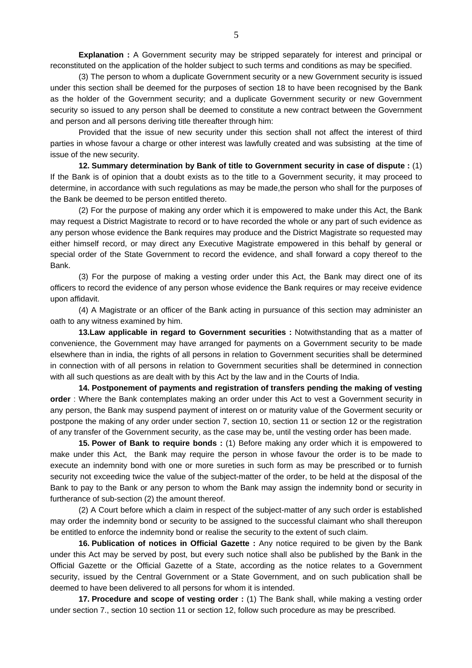**Explanation :** A Government security may be stripped separately for interest and principal or reconstituted on the application of the holder subject to such terms and conditions as may be specified.

 (3) The person to whom a duplicate Government security or a new Government security is issued under this section shall be deemed for the purposes of section 18 to have been recognised by the Bank as the holder of the Government security; and a duplicate Government security or new Government security so issued to any person shall be deemed to constitute a new contract between the Government and person and all persons deriving title thereafter through him:

 Provided that the issue of new security under this section shall not affect the interest of third parties in whose favour a charge or other interest was lawfully created and was subsisting at the time of issue of the new security.

**12. Summary determination by Bank of title to Government security in case of dispute :** (1) If the Bank is of opinion that a doubt exists as to the title to a Government security, it may proceed to determine, in accordance with such regulations as may be made,the person who shall for the purposes of the Bank be deemed to be person entitled thereto.

 (2) For the purpose of making any order which it is empowered to make under this Act, the Bank may request a District Magistrate to record or to have recorded the whole or any part of such evidence as any person whose evidence the Bank requires may produce and the District Magistrate so requested may either himself record, or may direct any Executive Magistrate empowered in this behalf by general or special order of the State Government to record the evidence, and shall forward a copy thereof to the Bank.

 (3) For the purpose of making a vesting order under this Act, the Bank may direct one of its officers to record the evidence of any person whose evidence the Bank requires or may receive evidence upon affidavit.

 (4) A Magistrate or an officer of the Bank acting in pursuance of this section may administer an oath to any witness examined by him.

**13.Law applicable in regard to Government securities :** Notwithstanding that as a matter of convenience, the Government may have arranged for payments on a Government security to be made elsewhere than in india, the rights of all persons in relation to Government securities shall be determined in connection with of all persons in relation to Government securities shall be determined in connection with all such questions as are dealt with by this Act by the law and in the Courts of India.

**14. Postponement of payments and registration of transfers pending the making of vesting order** : Where the Bank contemplates making an order under this Act to vest a Government security in any person, the Bank may suspend payment of interest on or maturity value of the Goverment security or postpone the making of any order under section 7, section 10, section 11 or section 12 or the registration of any transfer of the Government security, as the case may be, until the vesting order has been made.

**15. Power of Bank to require bonds :** (1) Before making any order which it is empowered to make under this Act, the Bank may require the person in whose favour the order is to be made to execute an indemnity bond with one or more sureties in such form as may be prescribed or to furnish security not exceeding twice the value of the subject-matter of the order, to be held at the disposal of the Bank to pay to the Bank or any person to whom the Bank may assign the indemnity bond or security in furtherance of sub-section (2) the amount thereof.

 (2) A Court before which a claim in respect of the subject-matter of any such order is established may order the indemnity bond or security to be assigned to the successful claimant who shall thereupon be entitled to enforce the indemnity bond or realise the security to the extent of such claim.

**16. Publication of notices in Official Gazette :** Any notice required to be given by the Bank under this Act may be served by post, but every such notice shall also be published by the Bank in the Official Gazette or the Official Gazette of a State, according as the notice relates to a Government security, issued by the Central Government or a State Government, and on such publication shall be deemed to have been delivered to all persons for whom it is intended.

**17. Procedure and scope of vesting order :** (1) The Bank shall, while making a vesting order under section 7., section 10 section 11 or section 12, follow such procedure as may be prescribed.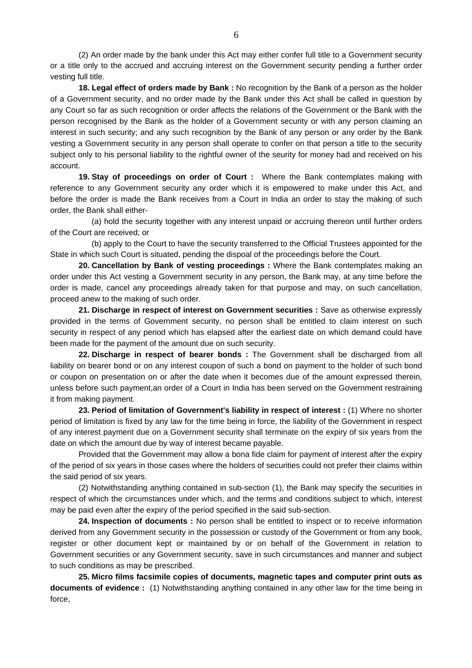(2) An order made by the bank under this Act may either confer full title to a Government security or a title only to the accrued and accruing interest on the Government security pending a further order vesting full title.

**18. Legal effect of orders made by Bank :** No recognition by the Bank of a person as the holder of a Government security, and no order made by the Bank under this Act shall be called in question by any Court so far as such recognition or order affects the relations of the Government or the Bank with the person recognised by the Bank as the holder of a Government security or with any person claiming an interest in such security; and any such recognition by the Bank of any person or any order by the Bank vesting a Government security in any person shall operate to confer on that person a title to the security subject only to his personal liability to the rightful owner of the seurity for money had and received on his account.

**19. Stay of proceedings on order of Court :** Where the Bank contemplates making with reference to any Government security any order which it is empowered to make under this Act, and before the order is made the Bank receives from a Court in India an order to stay the making of such order, the Bank shall either-

 (a) hold the security together with any interest unpaid or accruing thereon until further orders of the Court are received; or

 (b) apply to the Court to have the security transferred to the Official Trustees appointed for the State in which such Court is situated, pending the dispoal of the proceedings before the Court.

**20. Cancellation by Bank of vesting proceedings :** Where the Bank contemplates making an order under this Act vesting a Government security in any person, the Bank may, at any time before the order is made, cancel any proceedings already taken for that purpose and may, on such cancellation, proceed anew to the making of such order.

**21. Discharge in respect of interest on Government securities :** Save as otherwise expressly provided in the terms of Government security, no person shall be entitled to claim interest on such security in respect of any period which has elapsed after the earliest date on which demand could have been made for the payment of the amount due on such security.

**22. Discharge in respect of bearer bonds :** The Government shall be discharged from all liability on bearer bond or on any interest coupon of such a bond on payment to the holder of such bond or coupon on presentation on or after the date when it becomes due of the amount expressed therein, unless before such payment,an order of a Court in India has been served on the Government restraining it from making payment.

**23. Period of limitation of Government's liability in respect of interest :** (1) Where no shorter period of limitation is fixed by any law for the time being in force, the liability of the Government in respect of any interest payment due on a Government security shall terminate on the expiry of six years from the date on which the amount due by way of interest became payable.

 Provided that the Government may allow a bona fide claim for payment of interest after the expiry of the period of six years in those cases where the holders of securities could not prefer their claims within the said period of six years.

 (2) Notwithstanding anything contained in sub-section (1), the Bank may specify the securities in respect of which the circumstances under which, and the terms and conditions subject to which, interest may be paid even after the expiry of the period specified in the said sub-section.

**24. Inspection of documents :** No person shall be entitled to inspect or to receive information derived from any Government security in the possession or custody of the Government or from any book, register or other document kept or maintained by or on behalf of the Government in relation to Government securities or any Government security, save in such circumstances and manner and subject to such conditions as may be prescribed.

**25. Micro films facsimile copies of documents, magnetic tapes and computer print outs as documents of evidence :** (1) Notwithstanding anything contained in any other law for the time being in force,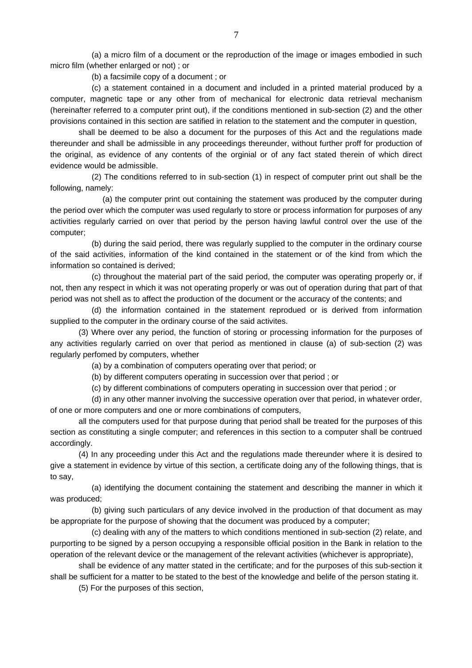(a) a micro film of a document or the reproduction of the image or images embodied in such micro film (whether enlarged or not) ; or

(b) a facsimile copy of a document ; or

 (c) a statement contained in a document and included in a printed material produced by a computer, magnetic tape or any other from of mechanical for electronic data retrieval mechanism (hereinafter referred to a computer print out), if the conditions mentioned in sub-section (2) and the other provisions contained in this section are satified in relation to the statement and the computer in question,

 shall be deemed to be also a document for the purposes of this Act and the regulations made thereunder and shall be admissible in any proceedings thereunder, without further proff for production of the original, as evidence of any contents of the orginial or of any fact stated therein of which direct evidence would be admissible.

 (2) The conditions referred to in sub-section (1) in respect of computer print out shall be the following, namely:

 (a) the computer print out containing the statement was produced by the computer during the period over which the computer was used regularly to store or process information for purposes of any activities regularly carried on over that period by the person having lawful control over the use of the computer;

 (b) during the said period, there was regularly supplied to the computer in the ordinary course of the said activities, information of the kind contained in the statement or of the kind from which the information so contained is derived;

 (c) throughout the material part of the said period, the computer was operating properly or, if not, then any respect in which it was not operating properly or was out of operation during that part of that period was not shell as to affect the production of the document or the accuracy of the contents; and

 (d) the information contained in the statement reprodued or is derived from information supplied to the computer in the ordinary course of the said activites.

 (3) Where over any period, the function of storing or processing information for the purposes of any activities regularly carried on over that period as mentioned in clause (a) of sub-section (2) was regularly perfomed by computers, whether

(a) by a combination of computers operating over that period; or

(b) by different computers operating in succession over that period ; or

(c) by different combinations of computers operating in succession over that period ; or

 (d) in any other manner involving the successive operation over that period, in whatever order, of one or more computers and one or more combinations of computers,

 all the computers used for that purpose during that period shall be treated for the purposes of this section as constituting a single computer; and references in this section to a computer shall be contrued accordingly.

 (4) In any proceeding under this Act and the regulations made thereunder where it is desired to give a statement in evidence by virtue of this section, a certificate doing any of the following things, that is to say,

 (a) identifying the document containing the statement and describing the manner in which it was produced;

 (b) giving such particulars of any device involved in the production of that document as may be appropriate for the purpose of showing that the document was produced by a computer;

 (c) dealing with any of the matters to which conditions mentioned in sub-section (2) relate, and purporting to be signed by a person occupying a responsible official position in the Bank in relation to the operation of the relevant device or the management of the relevant activities (whichever is appropriate),

 shall be evidence of any matter stated in the certificate; and for the purposes of this sub-section it shall be sufficient for a matter to be stated to the best of the knowledge and belife of the person stating it.

(5) For the purposes of this section,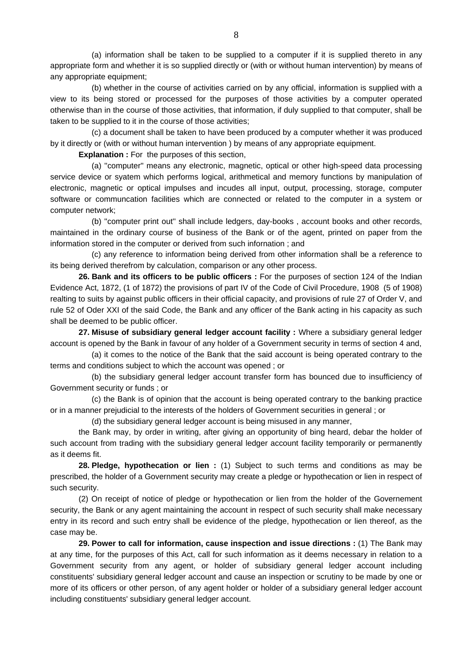(a) information shall be taken to be supplied to a computer if it is supplied thereto in any appropriate form and whether it is so supplied directly or (with or without human intervention) by means of any appropriate equipment;

 (b) whether in the course of activities carried on by any official, information is supplied with a view to its being stored or processed for the purposes of those activities by a computer operated otherwise than in the course of those activities, that information, if duly supplied to that computer, shall be taken to be supplied to it in the course of those activities;

 (c) a document shall be taken to have been produced by a computer whether it was produced by it directly or (with or without human intervention ) by means of any appropriate equipment.

**Explanation :** For the purposes of this section,

 (a) ''computer'' means any electronic, magnetic, optical or other high-speed data processing service device or syatem which performs logical, arithmetical and memory functions by manipulation of electronic, magnetic or optical impulses and incudes all input, output, processing, storage, computer software or communcation facilities which are connected or related to the computer in a system or computer network;

 (b) ''computer print out'' shall include ledgers, day-books , account books and other records, maintained in the ordinary course of business of the Bank or of the agent, printed on paper from the information stored in the computer or derived from such infornation ; and

 (c) any reference to information being derived from other information shall be a reference to its being derived therefrom by calculation, comparison or any other process.

**26. Bank and its officers to be public officers :** For the purposes of section 124 of the Indian Evidence Act, 1872, (1 of 1872) the provisions of part IV of the Code of Civil Procedure, 1908 (5 of 1908) realting to suits by against public officers in their official capacity, and provisions of rule 27 of Order V, and rule 52 of Oder XXI of the said Code, the Bank and any officer of the Bank acting in his capacity as such shall be deemed to be public officer.

**27. Misuse of subsidiary general ledger account facility :** Where a subsidiary general ledger account is opened by the Bank in favour of any holder of a Government security in terms of section 4 and,

 (a) it comes to the notice of the Bank that the said account is being operated contrary to the terms and conditions subject to which the account was opened ; or

 (b) the subsidiary general ledger account transfer form has bounced due to insufficiency of Government security or funds ; or

 (c) the Bank is of opinion that the account is being operated contrary to the banking practice or in a manner prejudicial to the interests of the holders of Government securities in general ; or

(d) the subsidiary general ledger account is being misused in any manner,

 the Bank may, by order in writing, after giving an opportunity of bing heard, debar the holder of such account from trading with the subsidiary general ledger account facility temporarily or permanently as it deems fit.

**28. Pledge, hypothecation or lien :** (1) Subject to such terms and conditions as may be prescribed, the holder of a Government security may create a pledge or hypothecation or lien in respect of such security.

 (2) On receipt of notice of pledge or hypothecation or lien from the holder of the Governement security, the Bank or any agent maintaining the account in respect of such security shall make necessary entry in its record and such entry shall be evidence of the pledge, hypothecation or lien thereof, as the case may be.

**29. Power to call for information, cause inspection and issue directions :** (1) The Bank may at any time, for the purposes of this Act, call for such information as it deems necessary in relation to a Government security from any agent, or holder of subsidiary general ledger account including constituents' subsidiary general ledger account and cause an inspection or scrutiny to be made by one or more of its officers or other person, of any agent holder or holder of a subsidiary general ledger account including constituents' subsidiary general ledger account.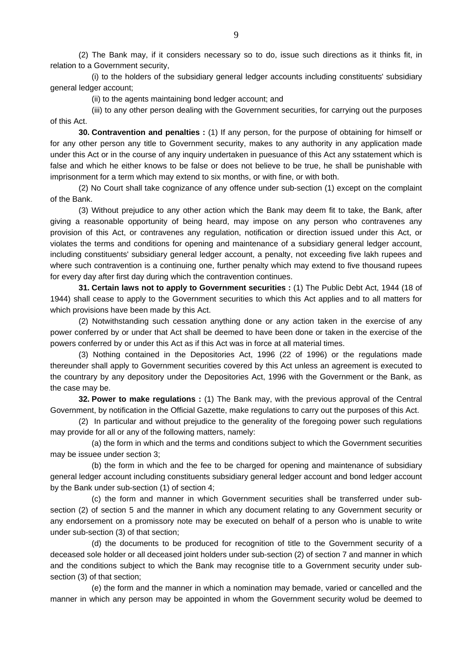(2) The Bank may, if it considers necessary so to do, issue such directions as it thinks fit, in relation to a Government security,

 (i) to the holders of the subsidiary general ledger accounts including constituents' subsidiary general ledger account;

(ii) to the agents maintaining bond ledger account; and

 (iii) to any other person dealing with the Government securities, for carrying out the purposes of this Act.

**30. Contravention and penalties :** (1) If any person, for the purpose of obtaining for himself or for any other person any title to Government security, makes to any authority in any application made under this Act or in the course of any inquiry undertaken in puesuance of this Act any sstatement which is false and which he either knows to be false or does not believe to be true, he shall be punishable with imprisonment for a term which may extend to six months, or with fine, or with both.

 (2) No Court shall take cognizance of any offence under sub-section (1) except on the complaint of the Bank.

 (3) Without prejudice to any other action which the Bank may deem fit to take, the Bank, after giving a reasonable opportunity of being heard, may impose on any person who contravenes any provision of this Act, or contravenes any regulation, notification or direction issued under this Act, or violates the terms and conditions for opening and maintenance of a subsidiary general ledger account, including constituents' subsidiary general ledger account, a penalty, not exceeding five lakh rupees and where such contravention is a continuing one, further penalty which may extend to five thousand rupees for every day after first day during which the contravention continues.

**31. Certain laws not to apply to Government securities :** (1) The Public Debt Act, 1944 (18 of 1944) shall cease to apply to the Government securities to which this Act applies and to all matters for which provisions have been made by this Act.

 (2) Notwithstanding such cessation anything done or any action taken in the exercise of any power conferred by or under that Act shall be deemed to have been done or taken in the exercise of the powers conferred by or under this Act as if this Act was in force at all material times.

 (3) Nothing contained in the Depositories Act, 1996 (22 of 1996) or the regulations made thereunder shall apply to Government securities covered by this Act unless an agreement is executed to the countrary by any depository under the Depositories Act, 1996 with the Government or the Bank, as the case may be.

**32. Power to make regulations :** (1) The Bank may, with the previous approval of the Central Government, by notification in the Official Gazette, make regulations to carry out the purposes of this Act.

 (2) In particular and without prejudice to the generality of the foregoing power such regulations may provide for all or any of the following matters, namely:

 (a) the form in which and the terms and conditions subject to which the Government securities may be issuee under section 3;

 (b) the form in which and the fee to be charged for opening and maintenance of subsidiary general ledger account including constituents subsidiary general ledger account and bond ledger account by the Bank under sub-section (1) of section 4;

 (c) the form and manner in which Government securities shall be transferred under subsection (2) of section 5 and the manner in which any document relating to any Government security or any endorsement on a promissory note may be executed on behalf of a person who is unable to write under sub-section (3) of that section;

 (d) the documents to be produced for recognition of title to the Government security of a deceased sole holder or all deceased joint holders under sub-section (2) of section 7 and manner in which and the conditions subject to which the Bank may recognise title to a Government security under subsection (3) of that section;

 (e) the form and the manner in which a nomination may bemade, varied or cancelled and the manner in which any person may be appointed in whom the Government security wolud be deemed to